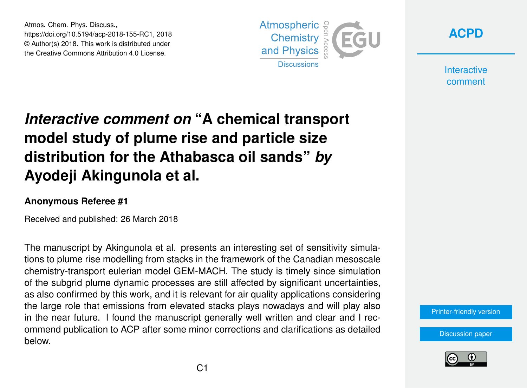Atmos. Chem. Phys. Discuss., https://doi.org/10.5194/acp-2018-155-RC1, 2018 © Author(s) 2018. This work is distributed under the Creative Commons Attribution 4.0 License.





**Interactive** comment

## *Interactive comment on* **"A chemical transport model study of plume rise and particle size distribution for the Athabasca oil sands"** *by* **Ayodeji Akingunola et al.**

## **Anonymous Referee #1**

Received and published: 26 March 2018

The manuscript by Akingunola et al. presents an interesting set of sensitivity simulations to plume rise modelling from stacks in the framework of the Canadian mesoscale chemistry-transport eulerian model GEM-MACH. The study is timely since simulation of the subgrid plume dynamic processes are still affected by significant uncertainties, as also confirmed by this work, and it is relevant for air quality applications considering the large role that emissions from elevated stacks plays nowadays and will play also in the near future. I found the manuscript generally well written and clear and I recommend publication to ACP after some minor corrections and clarifications as detailed below.

[Printer-friendly version](https://www.atmos-chem-phys-discuss.net/acp-2018-155/acp-2018-155-RC1-print.pdf)

[Discussion paper](https://www.atmos-chem-phys-discuss.net/acp-2018-155)

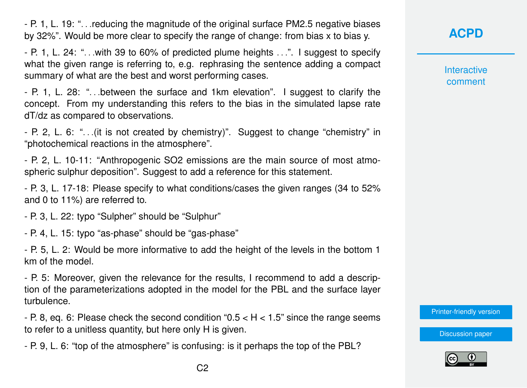- P. 1, L. 19: ". . .reducing the magnitude of the original surface PM2.5 negative biases by 32%". Would be more clear to specify the range of change: from bias x to bias y.

- P. 1, L. 24: ". . .with 39 to 60% of predicted plume heights . . .". I suggest to specify what the given range is referring to, e.g. rephrasing the sentence adding a compact summary of what are the best and worst performing cases.

- P. 1, L. 28: ". . .between the surface and 1km elevation". I suggest to clarify the concept. From my understanding this refers to the bias in the simulated lapse rate dT/dz as compared to observations.

- P. 2, L. 6: ". . .(it is not created by chemistry)". Suggest to change "chemistry" in "photochemical reactions in the atmosphere".

- P. 2, L. 10-11: "Anthropogenic SO2 emissions are the main source of most atmospheric sulphur deposition". Suggest to add a reference for this statement.

- P. 3, L. 17-18: Please specify to what conditions/cases the given ranges (34 to 52% and 0 to 11%) are referred to.

- P. 3, L. 22: typo "Sulpher" should be "Sulphur"

- P. 4, L. 15: typo "as-phase" should be "gas-phase"

- P. 5, L. 2: Would be more informative to add the height of the levels in the bottom 1 km of the model.

- P. 5: Moreover, given the relevance for the results, I recommend to add a description of the parameterizations adopted in the model for the PBL and the surface layer turbulence.

- P. 8, eq. 6: Please check the second condition " $0.5 < H < 1.5$ " since the range seems to refer to a unitless quantity, but here only H is given.

- P. 9, L. 6: "top of the atmosphere" is confusing: is it perhaps the top of the PBL?

**[ACPD](https://www.atmos-chem-phys-discuss.net/)**

**Interactive** comment

[Printer-friendly version](https://www.atmos-chem-phys-discuss.net/acp-2018-155/acp-2018-155-RC1-print.pdf)

[Discussion paper](https://www.atmos-chem-phys-discuss.net/acp-2018-155)